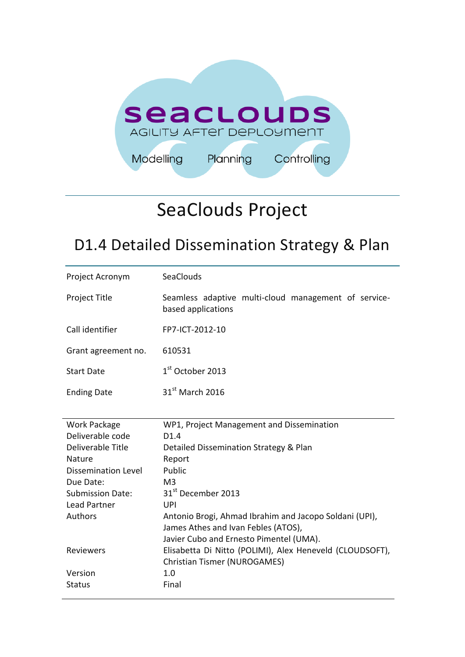

# SeaClouds Project

# D1.4 Detailed Dissemination Strategy & Plan

| Project Acronym            | SeaClouds                                                                  |
|----------------------------|----------------------------------------------------------------------------|
| <b>Project Title</b>       | Seamless adaptive multi-cloud management of service-<br>based applications |
| Call identifier            | FP7-ICT-2012-10                                                            |
| Grant agreement no.        | 610531                                                                     |
| <b>Start Date</b>          | $1st$ October 2013                                                         |
| <b>Ending Date</b>         | $31st$ March 2016                                                          |
|                            |                                                                            |
| Work Package               | WP1, Project Management and Dissemination                                  |
| Deliverable code           | D1.4                                                                       |
| Deliverable Title          | Detailed Dissemination Strategy & Plan                                     |
| <b>Nature</b>              | Report                                                                     |
| <b>Dissemination Level</b> |                                                                            |
|                            | Public                                                                     |
| Due Date:                  | M <sub>3</sub>                                                             |
| <b>Submission Date:</b>    | 31 <sup>st</sup> December 2013                                             |
| <b>Lead Partner</b>        | UPI                                                                        |
| Authors                    | Antonio Brogi, Ahmad Ibrahim and Jacopo Soldani (UPI),                     |
|                            | James Athes and Ivan Febles (ATOS),                                        |
|                            | Javier Cubo and Ernesto Pimentel (UMA).                                    |
| Reviewers                  | Elisabetta Di Nitto (POLIMI), Alex Heneveld (CLOUDSOFT),                   |
|                            | <b>Christian Tismer (NUROGAMES)</b>                                        |
| Version<br><b>Status</b>   | 1.0<br>Final                                                               |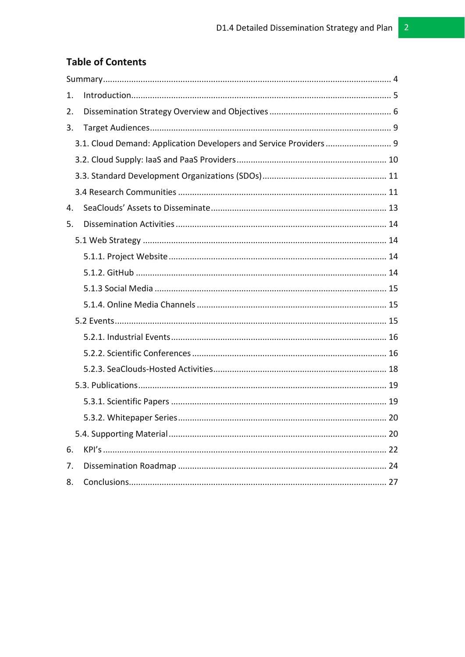# **Table of Contents**

| 1. |                                                                   |  |
|----|-------------------------------------------------------------------|--|
| 2. |                                                                   |  |
| 3. |                                                                   |  |
|    | 3.1. Cloud Demand: Application Developers and Service Providers 9 |  |
|    |                                                                   |  |
|    |                                                                   |  |
|    |                                                                   |  |
| 4. |                                                                   |  |
| 5. |                                                                   |  |
|    |                                                                   |  |
|    |                                                                   |  |
|    |                                                                   |  |
|    |                                                                   |  |
|    |                                                                   |  |
|    |                                                                   |  |
|    |                                                                   |  |
|    |                                                                   |  |
|    |                                                                   |  |
|    |                                                                   |  |
|    |                                                                   |  |
|    |                                                                   |  |
|    |                                                                   |  |
|    |                                                                   |  |
| 6. |                                                                   |  |
| 7. |                                                                   |  |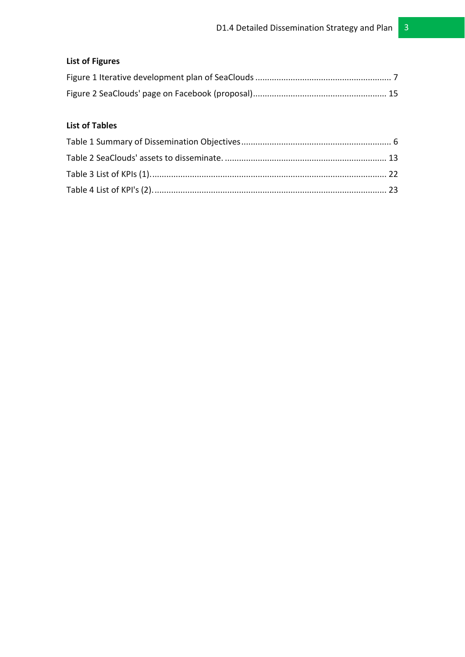# **List of Figures**

## **List of Tables**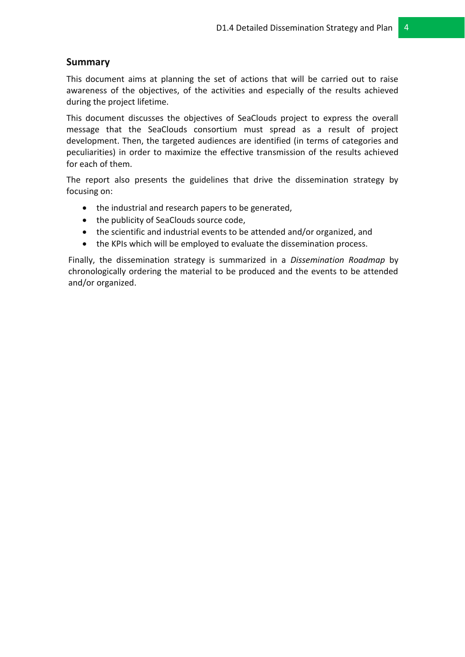# <span id="page-3-0"></span>**Summary**

This document aims at planning the set of actions that will be carried out to raise awareness of the objectives, of the activities and especially of the results achieved during the project lifetime.

This document discusses the objectives of SeaClouds project to express the overall message that the SeaClouds consortium must spread as a result of project development. Then, the targeted audiences are identified (in terms of categories and peculiarities) in order to maximize the effective transmission of the results achieved for each of them.

The report also presents the guidelines that drive the dissemination strategy by focusing on:

- the industrial and research papers to be generated,
- the publicity of SeaClouds source code,
- the scientific and industrial events to be attended and/or organized, and
- the KPIs which will be employed to evaluate the dissemination process.

Finally, the dissemination strategy is summarized in a *Dissemination Roadmap* by chronologically ordering the material to be produced and the events to be attended and/or organized.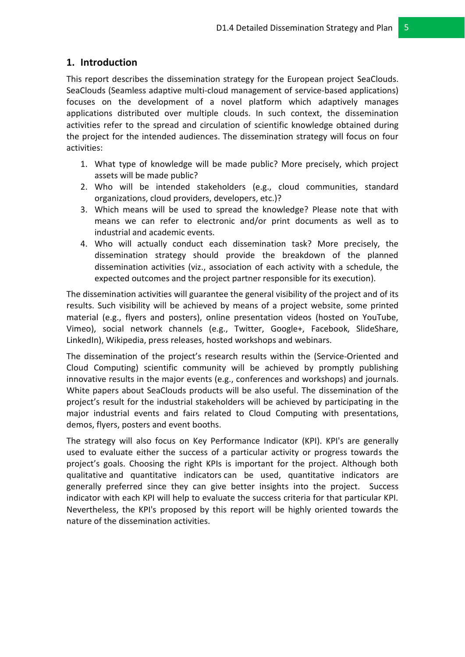# <span id="page-4-0"></span>**1. Introduction**

This report describes the dissemination strategy for the European project SeaClouds. SeaClouds (Seamless adaptive multi-cloud management of service-based applications) focuses on the development of a novel platform which adaptively manages applications distributed over multiple clouds. In such context, the dissemination activities refer to the spread and circulation of scientific knowledge obtained during the project for the intended audiences. The dissemination strategy will focus on four activities:

- 1. What type of knowledge will be made public? More precisely, which project assets will be made public?
- 2. Who will be intended stakeholders (e.g., cloud communities, standard organizations, cloud providers, developers, etc.)?
- 3. Which means will be used to spread the knowledge? Please note that with means we can refer to electronic and/or print documents as well as to industrial and academic events.
- 4. Who will actually conduct each dissemination task? More precisely, the dissemination strategy should provide the breakdown of the planned dissemination activities (viz., association of each activity with a schedule, the expected outcomes and the project partner responsible for its execution).

The dissemination activities will guarantee the general visibility of the project and of its results. Such visibility will be achieved by means of a project website, some printed material (e.g., flyers and posters), online presentation videos (hosted on YouTube, Vimeo), social network channels (e.g., Twitter, Google+, Facebook, SlideShare, LinkedIn), Wikipedia, press releases, hosted workshops and webinars.

The dissemination of the project's research results within the (Service-Oriented and Cloud Computing) scientific community will be achieved by promptly publishing innovative results in the major events (e.g., conferences and workshops) and journals. White papers about SeaClouds products will be also useful. The dissemination of the project's result for the industrial stakeholders will be achieved by participating in the major industrial events and fairs related to Cloud Computing with presentations, demos, flyers, posters and event booths.

The strategy will also focus on Key Performance Indicator (KPI). KPI's are generally used to evaluate either the success of a particular activity or progress towards the project's goals. Choosing the right KPIs is important for the project. Although both qualitative and quantitative indicators can be used, quantitative indicators are generally preferred since they can give better insights into the project. Success indicator with each KPI will help to evaluate the success criteria for that particular KPI. Nevertheless, the KPI's proposed by this report will be highly oriented towards the nature of the dissemination activities.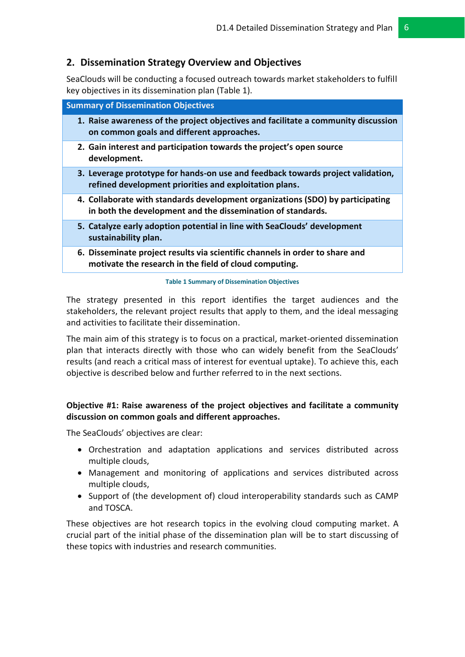### <span id="page-5-0"></span>**2. Dissemination Strategy Overview and Objectives**

SeaClouds will be conducting a focused outreach towards market stakeholders to fulfill key objectives in its dissemination plan (Table 1).

| <b>Summary of Dissemination Objectives</b> |                                                                                                                                           |  |  |
|--------------------------------------------|-------------------------------------------------------------------------------------------------------------------------------------------|--|--|
|                                            | 1. Raise awareness of the project objectives and facilitate a community discussion<br>on common goals and different approaches.           |  |  |
|                                            | 2. Gain interest and participation towards the project's open source<br>development.                                                      |  |  |
|                                            | 3. Leverage prototype for hands-on use and feedback towards project validation,<br>refined development priorities and exploitation plans. |  |  |
|                                            | 4. Collaborate with standards development organizations (SDO) by participating                                                            |  |  |

- **in both the development and the dissemination of standards.**
- **5. Catalyze early adoption potential in line with SeaClouds' development sustainability plan.**
- **6. Disseminate project results via scientific channels in order to share and motivate the research in the field of cloud computing.**

#### **Table 1 Summary of Dissemination Objectives**

<span id="page-5-1"></span>The strategy presented in this report identifies the target audiences and the stakeholders, the relevant project results that apply to them, and the ideal messaging and activities to facilitate their dissemination.

The main aim of this strategy is to focus on a practical, market-oriented dissemination plan that interacts directly with those who can widely benefit from the SeaClouds' results (and reach a critical mass of interest for eventual uptake). To achieve this, each objective is described below and further referred to in the next sections.

#### **Objective #1: Raise awareness of the project objectives and facilitate a community discussion on common goals and different approaches.**

The SeaClouds' objectives are clear:

- Orchestration and adaptation applications and services distributed across multiple clouds,
- Management and monitoring of applications and services distributed across multiple clouds,
- Support of (the development of) cloud interoperability standards such as CAMP and TOSCA.

These objectives are hot research topics in the evolving cloud computing market. A crucial part of the initial phase of the dissemination plan will be to start discussing of these topics with industries and research communities.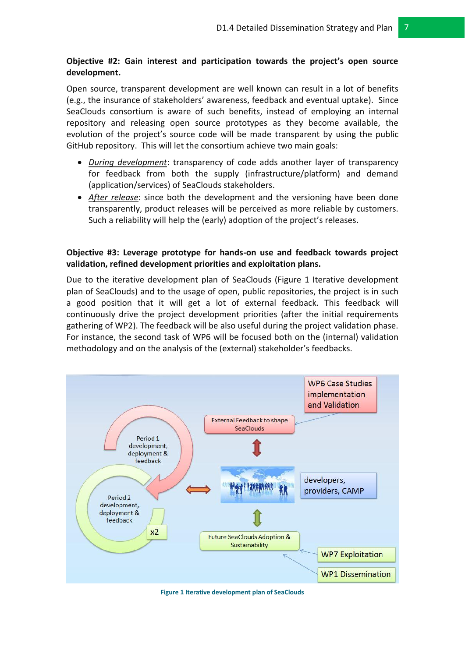#### **Objective #2: Gain interest and participation towards the project's open source development.**

Open source, transparent development are well known can result in a lot of benefits (e.g., the insurance of stakeholders' awareness, feedback and eventual uptake). Since SeaClouds consortium is aware of such benefits, instead of employing an internal repository and releasing open source prototypes as they become available, the evolution of the project's source code will be made transparent by using the public GitHub repository. This will let the consortium achieve two main goals:

- *During development*: transparency of code adds another layer of transparency for feedback from both the supply (infrastructure/platform) and demand (application/services) of SeaClouds stakeholders.
- *After release*: since both the development and the versioning have been done transparently, product releases will be perceived as more reliable by customers. Such a reliability will help the (early) adoption of the project's releases.

#### **Objective #3: Leverage prototype for hands-on use and feedback towards project validation, refined development priorities and exploitation plans.**

Due to the iterative development plan of SeaClouds (Figure 1 [Iterative development](#page-6-0)  [plan of SeaClouds\)](#page-6-0) and to the usage of open, public repositories, the project is in such a good position that it will get a lot of external feedback. This feedback will continuously drive the project development priorities (after the initial requirements gathering of WP2). The feedback will be also useful during the project validation phase. For instance, the second task of WP6 will be focused both on the (internal) validation methodology and on the analysis of the (external) stakeholder's feedbacks.



<span id="page-6-0"></span>**Figure 1 Iterative development plan of SeaClouds**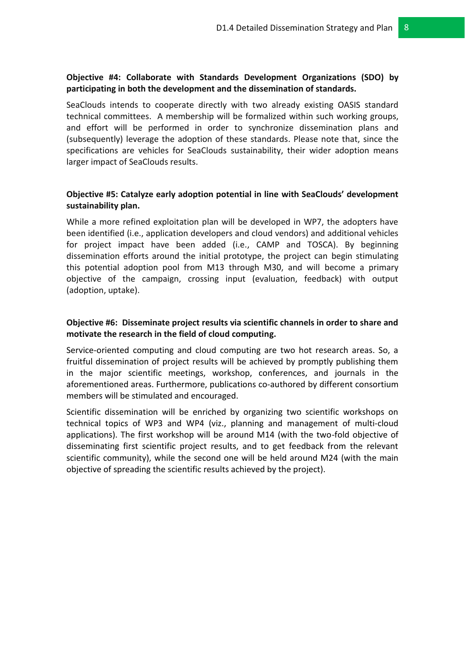#### **Objective #4: Collaborate with Standards Development Organizations (SDO) by participating in both the development and the dissemination of standards.**

SeaClouds intends to cooperate directly with two already existing OASIS standard technical committees. A membership will be formalized within such working groups, and effort will be performed in order to synchronize dissemination plans and (subsequently) leverage the adoption of these standards. Please note that, since the specifications are vehicles for SeaClouds sustainability, their wider adoption means larger impact of SeaClouds results.

### **Objective #5: Catalyze early adoption potential in line with SeaClouds' development sustainability plan.**

While a more refined exploitation plan will be developed in WP7, the adopters have been identified (i.e., application developers and cloud vendors) and additional vehicles for project impact have been added (i.e., CAMP and TOSCA). By beginning dissemination efforts around the initial prototype, the project can begin stimulating this potential adoption pool from M13 through M30, and will become a primary objective of the campaign, crossing input (evaluation, feedback) with output (adoption, uptake).

#### **Objective #6: Disseminate project results via scientific channels in order to share and motivate the research in the field of cloud computing.**

Service-oriented computing and cloud computing are two hot research areas. So, a fruitful dissemination of project results will be achieved by promptly publishing them in the major scientific meetings, workshop, conferences, and journals in the aforementioned areas. Furthermore, publications co-authored by different consortium members will be stimulated and encouraged.

Scientific dissemination will be enriched by organizing two scientific workshops on technical topics of WP3 and WP4 (viz., planning and management of multi-cloud applications). The first workshop will be around M14 (with the two-fold objective of disseminating first scientific project results, and to get feedback from the relevant scientific community), while the second one will be held around M24 (with the main objective of spreading the scientific results achieved by the project).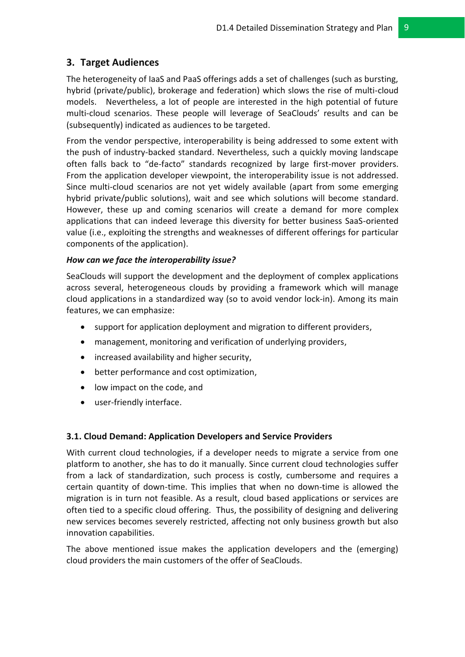# <span id="page-8-0"></span>**3. Target Audiences**

The heterogeneity of IaaS and PaaS offerings adds a set of challenges (such as bursting, hybrid (private/public), brokerage and federation) which slows the rise of multi-cloud models. Nevertheless, a lot of people are interested in the high potential of future multi-cloud scenarios. These people will leverage of SeaClouds' results and can be (subsequently) indicated as audiences to be targeted.

From the vendor perspective, interoperability is being addressed to some extent with the push of industry-backed standard. Nevertheless, such a quickly moving landscape often falls back to "de-facto" standards recognized by large first-mover providers. From the application developer viewpoint, the interoperability issue is not addressed. Since multi-cloud scenarios are not yet widely available (apart from some emerging hybrid private/public solutions), wait and see which solutions will become standard. However, these up and coming scenarios will create a demand for more complex applications that can indeed leverage this diversity for better business SaaS-oriented value (i.e., exploiting the strengths and weaknesses of different offerings for particular components of the application).

#### *How can we face the interoperability issue?*

SeaClouds will support the development and the deployment of complex applications across several, heterogeneous clouds by providing a framework which will manage cloud applications in a standardized way (so to avoid vendor lock-in). Among its main features, we can emphasize:

- support for application deployment and migration to different providers,
- management, monitoring and verification of underlying providers,
- increased availability and higher security,
- better performance and cost optimization,
- low impact on the code, and
- user-friendly interface.

#### <span id="page-8-1"></span>**3.1. Cloud Demand: Application Developers and Service Providers**

With current cloud technologies, if a developer needs to migrate a service from one platform to another, she has to do it manually. Since current cloud technologies suffer from a lack of standardization, such process is costly, cumbersome and requires a certain quantity of down-time. This implies that when no down-time is allowed the migration is in turn not feasible. As a result, cloud based applications or services are often tied to a specific cloud offering. Thus, the possibility of designing and delivering new services becomes severely restricted, affecting not only business growth but also innovation capabilities.

The above mentioned issue makes the application developers and the (emerging) cloud providers the main customers of the offer of SeaClouds.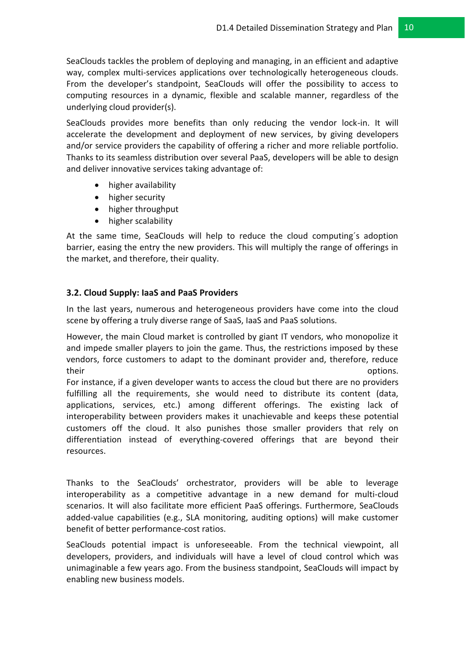SeaClouds tackles the problem of deploying and managing, in an efficient and adaptive way, complex multi-services applications over technologically heterogeneous clouds. From the developer's standpoint, SeaClouds will offer the possibility to access to computing resources in a dynamic, flexible and scalable manner, regardless of the underlying cloud provider(s).

SeaClouds provides more benefits than only reducing the vendor lock-in. It will accelerate the development and deployment of new services, by giving developers and/or service providers the capability of offering a richer and more reliable portfolio. Thanks to its seamless distribution over several PaaS, developers will be able to design and deliver innovative services taking advantage of:

- higher availability
- higher security
- higher throughput
- higher scalability

At the same time, SeaClouds will help to reduce the cloud computing´s adoption barrier, easing the entry the new providers. This will multiply the range of offerings in the market, and therefore, their quality.

#### <span id="page-9-0"></span>**3.2. Cloud Supply: IaaS and PaaS Providers**

In the last years, numerous and heterogeneous providers have come into the cloud scene by offering a truly diverse range of SaaS, IaaS and PaaS solutions.

However, the main Cloud market is controlled by giant IT vendors, who monopolize it and impede smaller players to join the game. Thus, the restrictions imposed by these vendors, force customers to adapt to the dominant provider and, therefore, reduce their contracts of the contracts of the contracts of the contracts of the contracts of the contracts of the contracts of the contracts of the contracts of the contracts of the contracts of the contracts of the contracts of

For instance, if a given developer wants to access the cloud but there are no providers fulfilling all the requirements, she would need to distribute its content (data, applications, services, etc.) among different offerings. The existing lack of interoperability between providers makes it unachievable and keeps these potential customers off the cloud. It also punishes those smaller providers that rely on differentiation instead of everything-covered offerings that are beyond their resources.

Thanks to the SeaClouds' orchestrator, providers will be able to leverage interoperability as a competitive advantage in a new demand for multi-cloud scenarios. It will also facilitate more efficient PaaS offerings. Furthermore, SeaClouds added-value capabilities (e.g., SLA monitoring, auditing options) will make customer benefit of better performance-cost ratios.

SeaClouds potential impact is unforeseeable. From the technical viewpoint, all developers, providers, and individuals will have a level of cloud control which was unimaginable a few years ago. From the business standpoint, SeaClouds will impact by enabling new business models.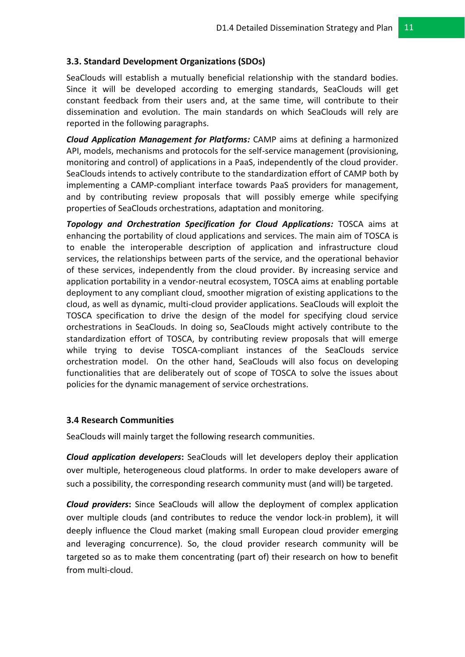#### <span id="page-10-0"></span>**3.3. Standard Development Organizations (SDOs)**

SeaClouds will establish a mutually beneficial relationship with the standard bodies. Since it will be developed according to emerging standards, SeaClouds will get constant feedback from their users and, at the same time, will contribute to their dissemination and evolution. The main standards on which SeaClouds will rely are reported in the following paragraphs.

*Cloud Application Management for Platforms:* CAMP aims at defining a harmonized API, models, mechanisms and protocols for the self-service management (provisioning, monitoring and control) of applications in a PaaS, independently of the cloud provider. SeaClouds intends to actively contribute to the standardization effort of CAMP both by implementing a CAMP-compliant interface towards PaaS providers for management, and by contributing review proposals that will possibly emerge while specifying properties of SeaClouds orchestrations, adaptation and monitoring.

*Topology and Orchestration Specification for Cloud Applications:* TOSCA aims at enhancing the portability of cloud applications and services. The main aim of TOSCA is to enable the interoperable description of application and infrastructure cloud services, the relationships between parts of the service, and the operational behavior of these services, independently from the cloud provider. By increasing service and application portability in a vendor-neutral ecosystem, TOSCA aims at enabling portable deployment to any compliant cloud, smoother migration of existing applications to the cloud, as well as dynamic, multi-cloud provider applications. SeaClouds will exploit the TOSCA specification to drive the design of the model for specifying cloud service orchestrations in SeaClouds. In doing so, SeaClouds might actively contribute to the standardization effort of TOSCA, by contributing review proposals that will emerge while trying to devise TOSCA-compliant instances of the SeaClouds service orchestration model. On the other hand, SeaClouds will also focus on developing functionalities that are deliberately out of scope of TOSCA to solve the issues about policies for the dynamic management of service orchestrations.

#### <span id="page-10-1"></span>**3.4 Research Communities**

SeaClouds will mainly target the following research communities.

*Cloud application developers***:** SeaClouds will let developers deploy their application over multiple, heterogeneous cloud platforms. In order to make developers aware of such a possibility, the corresponding research community must (and will) be targeted.

*Cloud providers***:** Since SeaClouds will allow the deployment of complex application over multiple clouds (and contributes to reduce the vendor lock-in problem), it will deeply influence the Cloud market (making small European cloud provider emerging and leveraging concurrence). So, the cloud provider research community will be targeted so as to make them concentrating (part of) their research on how to benefit from multi-cloud.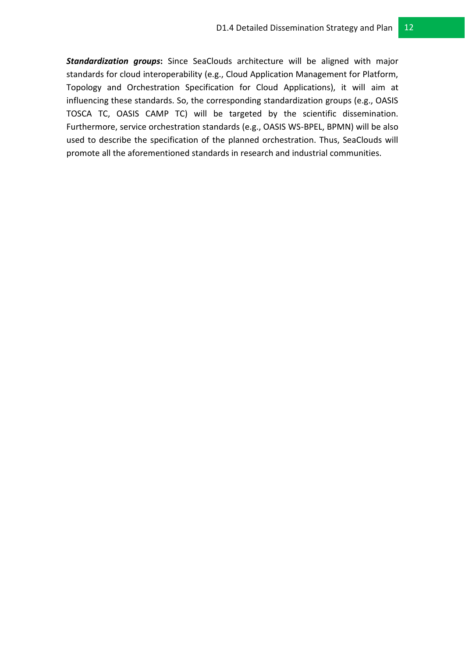*Standardization groups***:** Since SeaClouds architecture will be aligned with major standards for cloud interoperability (e.g., Cloud Application Management for Platform, Topology and Orchestration Specification for Cloud Applications), it will aim at influencing these standards. So, the corresponding standardization groups (e.g., OASIS TOSCA TC, OASIS CAMP TC) will be targeted by the scientific dissemination. Furthermore, service orchestration standards (e.g., OASIS WS-BPEL, BPMN) will be also used to describe the specification of the planned orchestration. Thus, SeaClouds will promote all the aforementioned standards in research and industrial communities.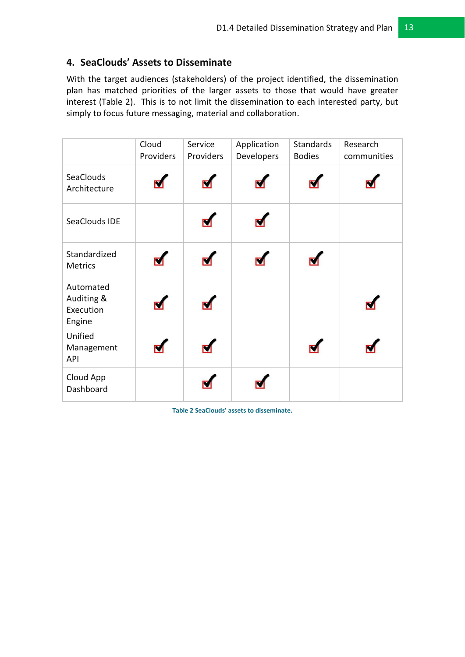# <span id="page-12-0"></span>**4. SeaClouds' Assets to Disseminate**

With the target audiences (stakeholders) of the project identified, the dissemination plan has matched priorities of the larger assets to those that would have greater interest (Table 2). This is to not limit the dissemination to each interested party, but simply to focus future messaging, material and collaboration.

|                                                | Cloud<br>Providers | Service<br>Providers | Application<br>Developers | <b>Standards</b><br><b>Bodies</b> | Research<br>communities |
|------------------------------------------------|--------------------|----------------------|---------------------------|-----------------------------------|-------------------------|
| SeaClouds<br>Architecture                      |                    |                      |                           |                                   |                         |
| SeaClouds IDE                                  |                    |                      |                           |                                   |                         |
| Standardized<br><b>Metrics</b>                 |                    |                      |                           |                                   |                         |
| Automated<br>Auditing &<br>Execution<br>Engine |                    |                      |                           |                                   |                         |
| Unified<br>Management<br>API                   |                    |                      |                           |                                   |                         |
| Cloud App<br>Dashboard                         |                    |                      |                           |                                   |                         |

<span id="page-12-1"></span>**Table 2 SeaClouds' assets to disseminate.**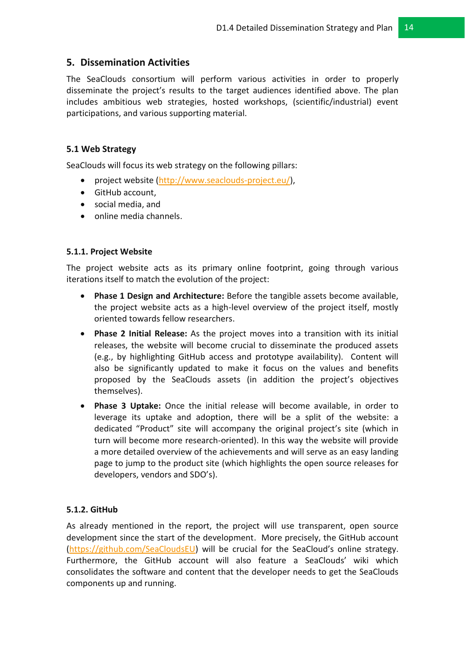# <span id="page-13-0"></span>**5. Dissemination Activities**

The SeaClouds consortium will perform various activities in order to properly disseminate the project's results to the target audiences identified above. The plan includes ambitious web strategies, hosted workshops, (scientific/industrial) event participations, and various supporting material.

#### <span id="page-13-1"></span>**5.1 Web Strategy**

SeaClouds will focus its web strategy on the following pillars:

- project website [\(http://www.seaclouds-project.eu/\)](http://www.seaclouds-project.eu/),
- GitHub account,
- social media, and
- online media channels.

#### <span id="page-13-2"></span>**5.1.1. Project Website**

The project website acts as its primary online footprint, going through various iterations itself to match the evolution of the project:

- **Phase 1 Design and Architecture:** Before the tangible assets become available, the project website acts as a high-level overview of the project itself, mostly oriented towards fellow researchers.
- **Phase 2 Initial Release:** As the project moves into a transition with its initial releases, the website will become crucial to disseminate the produced assets (e.g., by highlighting GitHub access and prototype availability). Content will also be significantly updated to make it focus on the values and benefits proposed by the SeaClouds assets (in addition the project's objectives themselves).
- **Phase 3 Uptake:** Once the initial release will become available, in order to leverage its uptake and adoption, there will be a split of the website: a dedicated "Product" site will accompany the original project's site (which in turn will become more research-oriented). In this way the website will provide a more detailed overview of the achievements and will serve as an easy landing page to jump to the product site (which highlights the open source releases for developers, vendors and SDO's).

## <span id="page-13-3"></span>**5.1.2. GitHub**

As already mentioned in the report, the project will use transparent, open source development since the start of the development. More precisely, the GitHub account [\(https://github.com/SeaCloudsEU\)](https://github.com/SeaCloudsEU) will be crucial for the SeaCloud's online strategy. Furthermore, the GitHub account will also feature a SeaClouds' wiki which consolidates the software and content that the developer needs to get the SeaClouds components up and running.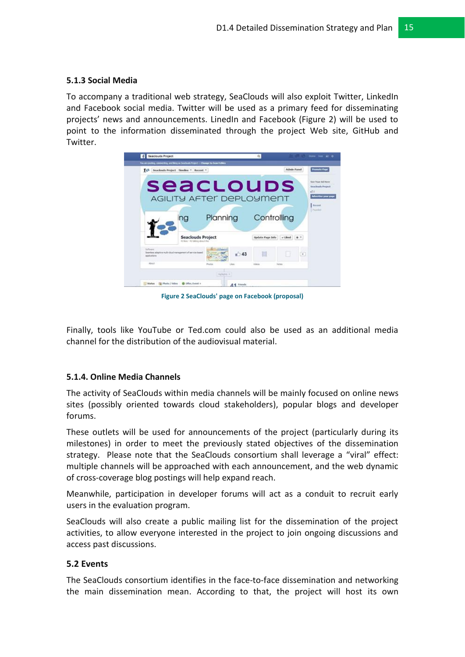#### <span id="page-14-0"></span>**5.1.3 Social Media**

To accompany a traditional web strategy, SeaClouds will also exploit Twitter, LinkedIn and Facebook social media. Twitter will be used as a primary feed for disseminating projects' news and announcements. LinedIn and Facebook (Figure 2) will be used to point to the information disseminated through the project Web site, GitHub and Twitter.



**Figure 2 SeaClouds' page on Facebook (proposal)**

<span id="page-14-3"></span>Finally, tools like YouTube or Ted.com could also be used as an additional media channel for the distribution of the audiovisual material.

#### <span id="page-14-1"></span>**5.1.4. Online Media Channels**

The activity of SeaClouds within media channels will be mainly focused on online news sites (possibly oriented towards cloud stakeholders), popular blogs and developer forums.

These outlets will be used for announcements of the project (particularly during its milestones) in order to meet the previously stated objectives of the dissemination strategy. Please note that the SeaClouds consortium shall leverage a "viral" effect: multiple channels will be approached with each announcement, and the web dynamic of cross-coverage blog postings will help expand reach.

Meanwhile, participation in developer forums will act as a conduit to recruit early users in the evaluation program.

SeaClouds will also create a public mailing list for the dissemination of the project activities, to allow everyone interested in the project to join ongoing discussions and access past discussions.

#### <span id="page-14-2"></span>**5.2 Events**

The SeaClouds consortium identifies in the face-to-face dissemination and networking the main dissemination mean. According to that, the project will host its own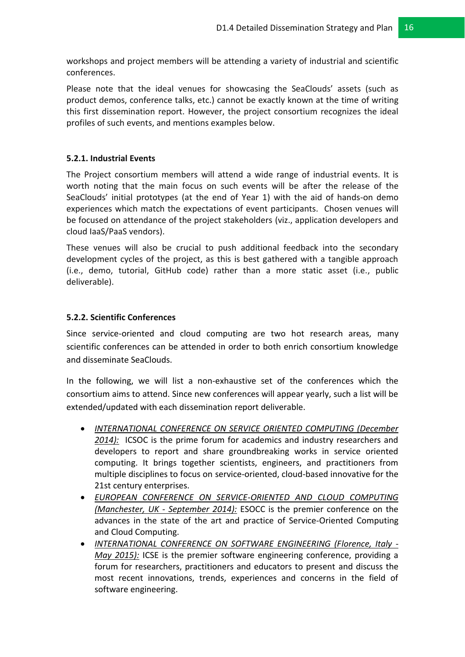workshops and project members will be attending a variety of industrial and scientific conferences.

Please note that the ideal venues for showcasing the SeaClouds' assets (such as product demos, conference talks, etc.) cannot be exactly known at the time of writing this first dissemination report. However, the project consortium recognizes the ideal profiles of such events, and mentions examples below.

#### <span id="page-15-0"></span>**5.2.1. Industrial Events**

The Project consortium members will attend a wide range of industrial events. It is worth noting that the main focus on such events will be after the release of the SeaClouds' initial prototypes (at the end of Year 1) with the aid of hands-on demo experiences which match the expectations of event participants. Chosen venues will be focused on attendance of the project stakeholders (viz., application developers and cloud IaaS/PaaS vendors).

These venues will also be crucial to push additional feedback into the secondary development cycles of the project, as this is best gathered with a tangible approach (i.e., demo, tutorial, GitHub code) rather than a more static asset (i.e., public deliverable).

#### <span id="page-15-1"></span>**5.2.2. Scientific Conferences**

Since service-oriented and cloud computing are two hot research areas, many scientific conferences can be attended in order to both enrich consortium knowledge and disseminate SeaClouds.

In the following, we will list a non-exhaustive set of the conferences which the consortium aims to attend. Since new conferences will appear yearly, such a list will be extended/updated with each dissemination report deliverable.

- *INTERNATIONAL CONFERENCE ON SERVICE ORIENTED COMPUTING (December 2014):* ICSOC is the prime forum for academics and industry researchers and developers to report and share groundbreaking works in service oriented computing. It brings together scientists, engineers, and practitioners from multiple disciplines to focus on service-oriented, cloud-based innovative for the 21st century enterprises.
- *EUROPEAN CONFERENCE ON SERVICE-ORIENTED AND CLOUD COMPUTING (Manchester, UK - September 2014):* ESOCC is the premier conference on the advances in the state of the art and practice of Service-Oriented Computing and Cloud Computing.
- *INTERNATIONAL CONFERENCE ON SOFTWARE ENGINEERING (Florence, Italy - May 2015):* ICSE is the premier software engineering conference, providing a forum for researchers, practitioners and educators to present and discuss the most recent innovations, trends, experiences and concerns in the field of software engineering.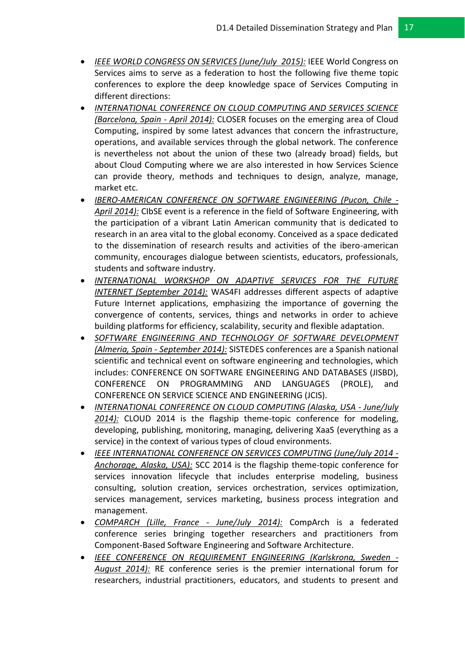- *IEEE WORLD CONGRESS ON SERVICES (June/July 2015):* IEEE World Congress on Services aims to serve as a federation to host the following five theme topic conferences to explore the deep knowledge space of Services Computing in different directions:
- *INTERNATIONAL CONFERENCE ON CLOUD COMPUTING AND SERVICES SCIENCE (Barcelona, Spain - April 2014):* CLOSER focuses on the emerging area of Cloud Computing, inspired by some latest advances that concern the infrastructure, operations, and available services through the global network. The conference is nevertheless not about the union of these two (already broad) fields, but about Cloud Computing where we are also interested in how Services Science can provide theory, methods and techniques to design, analyze, manage, market etc.
- *IBERO-AMERICAN CONFERENCE ON SOFTWARE ENGINEERING (Pucon, Chile - April 2014):* CIbSE event is a reference in the field of Software Engineering, with the participation of a vibrant Latin American community that is dedicated to research in an area vital to the global economy. Conceived as a space dedicated to the dissemination of research results and activities of the ibero-american community, encourages dialogue between scientists, educators, professionals, students and software industry.
- *INTERNATIONAL WORKSHOP ON ADAPTIVE SERVICES FOR THE FUTURE INTERNET (September 2014):* WAS4FI addresses different aspects of adaptive Future Internet applications, emphasizing the importance of governing the convergence of contents, services, things and networks in order to achieve building platforms for efficiency, scalability, security and flexible adaptation.
- *SOFTWARE ENGINEERING AND TECHNOLOGY OF SOFTWARE DEVELOPMENT (Almeria, Spain - September 2014):* SISTEDES conferences are a Spanish national scientific and technical event on software engineering and technologies, which includes: CONFERENCE ON SOFTWARE ENGINEERING AND DATABASES (JISBD), CONFERENCE ON PROGRAMMING AND LANGUAGES (PROLE), and CONFERENCE ON SERVICE SCIENCE AND ENGINEERING (JCIS).
- *INTERNATIONAL CONFERENCE ON CLOUD COMPUTING (Alaska, USA - June/July 2014):* CLOUD 2014 is the flagship theme-topic conference for modeling, developing, publishing, monitoring, managing, delivering XaaS (everything as a service) in the context of various types of cloud environments.
- *IEEE INTERNATIONAL CONFERENCE ON SERVICES COMPUTING (June/July 2014 - Anchorage, Alaska, USA):* SCC 2014 is the flagship theme-topic conference for services innovation lifecycle that includes enterprise modeling, business consulting, solution creation, services orchestration, services optimization, services management, services marketing, business process integration and management.
- *COMPARCH (Lille, France - June/July 2014):* CompArch is a federated conference series bringing together researchers and practitioners from Component-Based Software Engineering and Software Architecture.
- *IEEE CONFERENCE ON REQUIREMENT ENGINEERING (Karlskrona, Sweden - August 2014):* RE conference series is the premier international forum for researchers, industrial practitioners, educators, and students to present and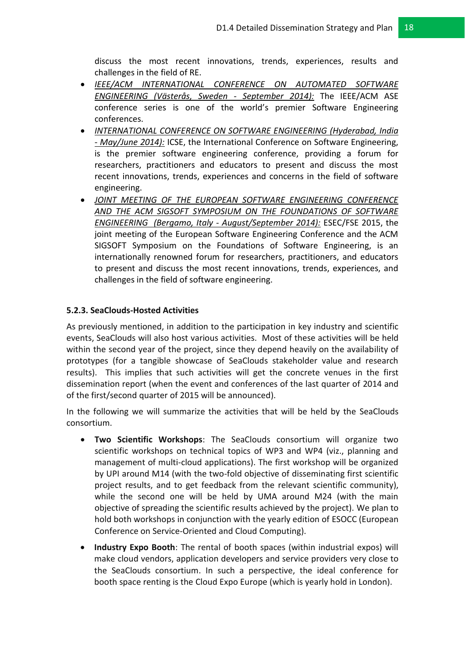discuss the most recent innovations, trends, experiences, results and challenges in the field of RE.

- *IEEE/ACM INTERNATIONAL CONFERENCE ON AUTOMATED SOFTWARE ENGINEERING (Västerås, Sweden - September 2014):* The IEEE/ACM ASE conference series is one of the world's premier Software Engineering conferences.
- *INTERNATIONAL CONFERENCE ON SOFTWARE ENGINEERING (Hyderabad, India - May/June 2014):* ICSE, the International Conference on Software Engineering, is the premier software engineering conference, providing a forum for researchers, practitioners and educators to present and discuss the most recent innovations, trends, experiences and concerns in the field of software engineering.
- JOINT MEETING OF THE EUROPEAN SOFTWARE ENGINEERING CONFERENCE *AND THE ACM SIGSOFT SYMPOSIUM ON THE FOUNDATIONS OF SOFTWARE ENGINEERING (Bergamo, Italy - August/September 2014):* ESEC/FSE 2015, the joint meeting of the European Software Engineering Conference and the ACM SIGSOFT Symposium on the Foundations of Software Engineering, is an internationally renowned forum for researchers, practitioners, and educators to present and discuss the most recent innovations, trends, experiences, and challenges in the field of software engineering.

#### <span id="page-17-0"></span>**5.2.3. SeaClouds-Hosted Activities**

As previously mentioned, in addition to the participation in key industry and scientific events, SeaClouds will also host various activities. Most of these activities will be held within the second year of the project, since they depend heavily on the availability of prototypes (for a tangible showcase of SeaClouds stakeholder value and research results). This implies that such activities will get the concrete venues in the first dissemination report (when the event and conferences of the last quarter of 2014 and of the first/second quarter of 2015 will be announced).

In the following we will summarize the activities that will be held by the SeaClouds consortium.

- **Two Scientific Workshops**: The SeaClouds consortium will organize two scientific workshops on technical topics of WP3 and WP4 (viz., planning and management of multi-cloud applications). The first workshop will be organized by UPI around M14 (with the two-fold objective of disseminating first scientific project results, and to get feedback from the relevant scientific community), while the second one will be held by UMA around M24 (with the main objective of spreading the scientific results achieved by the project). We plan to hold both workshops in conjunction with the yearly edition of ESOCC (European Conference on Service-Oriented and Cloud Computing).
- **Industry Expo Booth**: The rental of booth spaces (within industrial expos) will make cloud vendors, application developers and service providers very close to the SeaClouds consortium. In such a perspective, the ideal conference for booth space renting is the Cloud Expo Europe (which is yearly hold in London).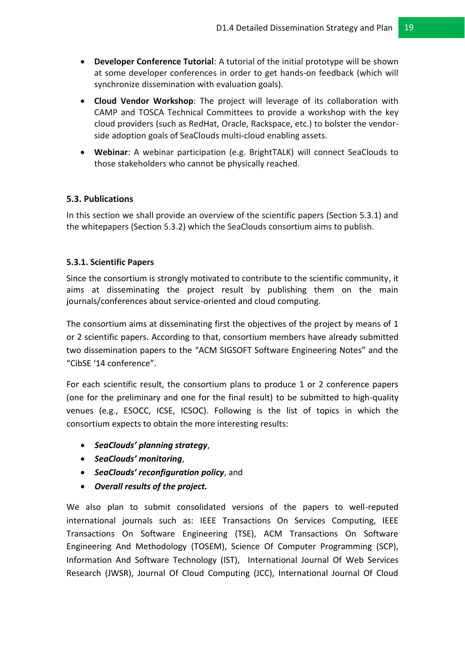- **Developer Conference Tutorial**: A tutorial of the initial prototype will be shown at some developer conferences in order to get hands-on feedback (which will synchronize dissemination with evaluation goals).
- **Cloud Vendor Workshop**: The project will leverage of its collaboration with CAMP and TOSCA Technical Committees to provide a workshop with the key cloud providers (such as RedHat, Oracle, Rackspace, etc.) to bolster the vendorside adoption goals of SeaClouds multi-cloud enabling assets.
- **Webinar**: A webinar participation (e.g. BrightTALK) will connect SeaClouds to those stakeholders who cannot be physically reached.

#### <span id="page-18-0"></span>**5.3. Publications**

In this section we shall provide an overview of the scientific papers (Section 5.3.1) and the whitepapers (Section 5.3.2) which the SeaClouds consortium aims to publish.

#### <span id="page-18-1"></span>**5.3.1. Scientific Papers**

Since the consortium is strongly motivated to contribute to the scientific community, it aims at disseminating the project result by publishing them on the main journals/conferences about service-oriented and cloud computing.

The consortium aims at disseminating first the objectives of the project by means of 1 or 2 scientific papers. According to that, consortium members have already submitted two dissemination papers to the "ACM SIGSOFT Software Engineering Notes" and the "CibSE '14 conference".

For each scientific result, the consortium plans to produce 1 or 2 conference papers (one for the preliminary and one for the final result) to be submitted to high-quality venues (e.g., ESOCC, ICSE, ICSOC). Following is the list of topics in which the consortium expects to obtain the more interesting results:

- *SeaClouds' planning strategy*,
- *SeaClouds' monitoring*,
- *SeaClouds' reconfiguration policy*, and
- *Overall results of the project.*

We also plan to submit consolidated versions of the papers to well-reputed international journals such as: IEEE Transactions On Services Computing, IEEE Transactions On Software Engineering (TSE), ACM Transactions On Software Engineering And Methodology (TOSEM), Science Of Computer Programming (SCP), Information And Software Technology (IST), International Journal Of Web Services Research (JWSR), Journal Of Cloud Computing (JCC), International Journal Of Cloud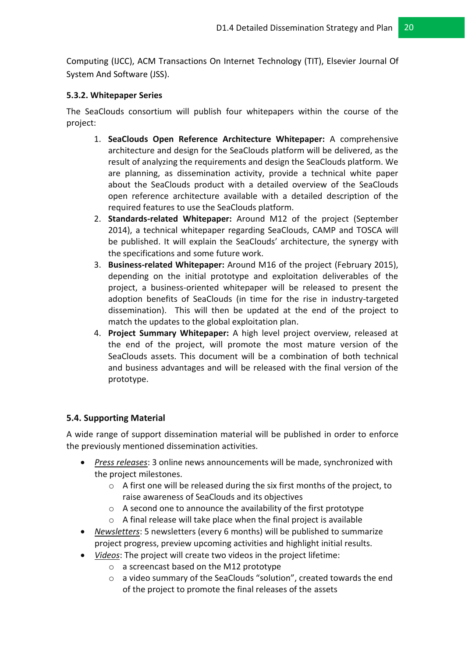Computing (IJCC), ACM Transactions On Internet Technology (TIT), Elsevier Journal Of System And Software (JSS).

#### <span id="page-19-0"></span>**5.3.2. Whitepaper Series**

The SeaClouds consortium will publish four whitepapers within the course of the project:

- 1. **SeaClouds Open Reference Architecture Whitepaper:** A comprehensive architecture and design for the SeaClouds platform will be delivered, as the result of analyzing the requirements and design the SeaClouds platform. We are planning, as dissemination activity, provide a technical white paper about the SeaClouds product with a detailed overview of the SeaClouds open reference architecture available with a detailed description of the required features to use the SeaClouds platform.
- 2. **Standards-related Whitepaper:** Around M12 of the project (September 2014), a technical whitepaper regarding SeaClouds, CAMP and TOSCA will be published. It will explain the SeaClouds' architecture, the synergy with the specifications and some future work.
- 3. **Business-related Whitepaper:** Around M16 of the project (February 2015), depending on the initial prototype and exploitation deliverables of the project, a business-oriented whitepaper will be released to present the adoption benefits of SeaClouds (in time for the rise in industry-targeted dissemination). This will then be updated at the end of the project to match the updates to the global exploitation plan.
- 4. **Project Summary Whitepaper:** A high level project overview, released at the end of the project, will promote the most mature version of the SeaClouds assets. This document will be a combination of both technical and business advantages and will be released with the final version of the prototype.

## <span id="page-19-1"></span>**5.4. Supporting Material**

A wide range of support dissemination material will be published in order to enforce the previously mentioned dissemination activities.

- *Press releases*: 3 online news announcements will be made, synchronized with the project milestones.
	- $\circ$  A first one will be released during the six first months of the project, to raise awareness of SeaClouds and its objectives
	- o A second one to announce the availability of the first prototype
	- o A final release will take place when the final project is available
- *Newsletters*: 5 newsletters (every 6 months) will be published to summarize project progress, preview upcoming activities and highlight initial results.
- *Videos*: The project will create two videos in the project lifetime:
	- o a screencast based on the M12 prototype
	- o a video summary of the SeaClouds "solution", created towards the end of the project to promote the final releases of the assets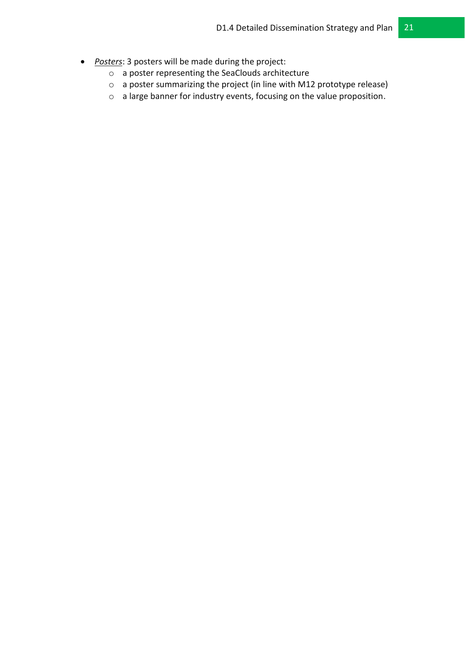- *Posters*: 3 posters will be made during the project:
	- o a poster representing the SeaClouds architecture
	- o a poster summarizing the project (in line with M12 prototype release)
	- o a large banner for industry events, focusing on the value proposition.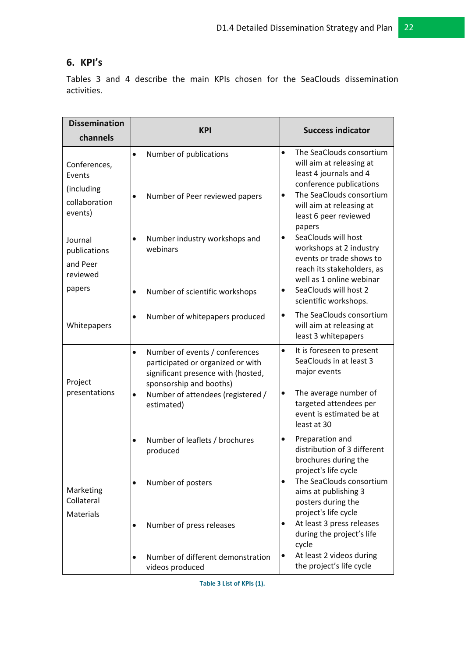# <span id="page-21-0"></span>**6. KPI's**

Tables 3 and 4 describe the main KPIs chosen for the SeaClouds dissemination activities.

| <b>Dissemination</b>                                             | <b>KPI</b>                                                                                                                                                                                                | <b>Success indicator</b>                                                                                                                                                                                             |  |
|------------------------------------------------------------------|-----------------------------------------------------------------------------------------------------------------------------------------------------------------------------------------------------------|----------------------------------------------------------------------------------------------------------------------------------------------------------------------------------------------------------------------|--|
| channels                                                         |                                                                                                                                                                                                           |                                                                                                                                                                                                                      |  |
| Conferences,<br>Events<br>(including<br>collaboration<br>events) | Number of publications<br>$\bullet$<br>Number of Peer reviewed papers<br>$\bullet$                                                                                                                        | The SeaClouds consortium<br>$\bullet$<br>will aim at releasing at<br>least 4 journals and 4<br>conference publications<br>The SeaClouds consortium<br>$\bullet$<br>will aim at releasing at<br>least 6 peer reviewed |  |
| Journal<br>publications<br>and Peer<br>reviewed<br>papers        | Number industry workshops and<br>$\bullet$<br>webinars<br>Number of scientific workshops                                                                                                                  | papers<br>SeaClouds will host<br>$\bullet$<br>workshops at 2 industry<br>events or trade shows to<br>reach its stakeholders, as<br>well as 1 online webinar<br>SeaClouds will host 2<br>$\bullet$                    |  |
|                                                                  |                                                                                                                                                                                                           | scientific workshops.                                                                                                                                                                                                |  |
| Whitepapers                                                      | Number of whitepapers produced<br>$\bullet$                                                                                                                                                               | The SeaClouds consortium<br>$\bullet$<br>will aim at releasing at<br>least 3 whitepapers                                                                                                                             |  |
| Project<br>presentations                                         | Number of events / conferences<br>$\bullet$<br>participated or organized or with<br>significant presence with (hosted,<br>sponsorship and booths)<br>Number of attendees (registered /<br>٠<br>estimated) | $\bullet$<br>It is foreseen to present<br>SeaClouds in at least 3<br>major events<br>The average number of<br>$\bullet$<br>targeted attendees per<br>event is estimated be at<br>least at 30                         |  |
|                                                                  | Number of leaflets / brochures<br>$\bullet$<br>produced                                                                                                                                                   | Preparation and<br>$\bullet$<br>distribution of 3 different<br>brochures during the<br>project's life cycle                                                                                                          |  |
| Marketing<br>Collateral<br><b>Materials</b>                      | Number of posters<br>$\bullet$                                                                                                                                                                            | The SeaClouds consortium<br>$\bullet$<br>aims at publishing 3<br>posters during the<br>project's life cycle                                                                                                          |  |
|                                                                  | Number of press releases                                                                                                                                                                                  | At least 3 press releases<br>$\bullet$<br>during the project's life<br>cycle                                                                                                                                         |  |
|                                                                  | Number of different demonstration<br>$\bullet$<br>videos produced                                                                                                                                         | At least 2 videos during<br>$\bullet$<br>the project's life cycle                                                                                                                                                    |  |

<span id="page-21-1"></span>**Table 3 List of KPIs (1).**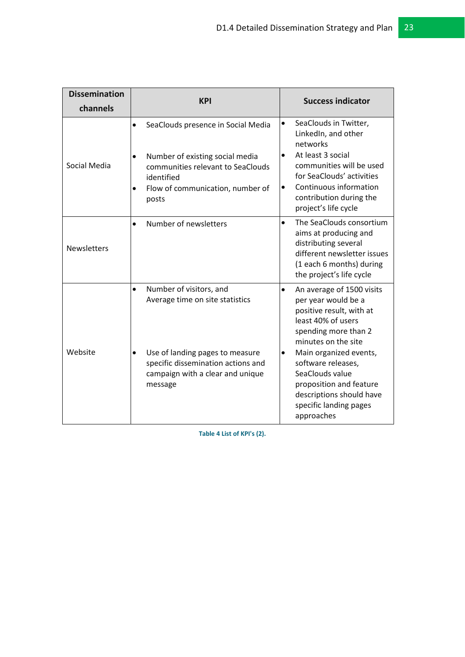| <b>Dissemination</b> | <b>KPI</b>                                                                                                                                                                                      | <b>Success indicator</b>                                                                                                                                                                                                                                                                                                                      |  |
|----------------------|-------------------------------------------------------------------------------------------------------------------------------------------------------------------------------------------------|-----------------------------------------------------------------------------------------------------------------------------------------------------------------------------------------------------------------------------------------------------------------------------------------------------------------------------------------------|--|
| channels             |                                                                                                                                                                                                 |                                                                                                                                                                                                                                                                                                                                               |  |
| Social Media         | SeaClouds presence in Social Media<br>$\bullet$<br>Number of existing social media<br>communities relevant to SeaClouds<br>identified<br>Flow of communication, number of<br>posts              | SeaClouds in Twitter,<br>$\bullet$<br>LinkedIn, and other<br>networks<br>At least 3 social<br>$\bullet$<br>communities will be used<br>for SeaClouds' activities<br>Continuous information<br>$\bullet$<br>contribution during the<br>project's life cycle                                                                                    |  |
| <b>Newsletters</b>   | Number of newsletters                                                                                                                                                                           | The SeaClouds consortium<br>$\bullet$<br>aims at producing and<br>distributing several<br>different newsletter issues<br>(1 each 6 months) during<br>the project's life cycle                                                                                                                                                                 |  |
| Website              | Number of visitors, and<br>$\bullet$<br>Average time on site statistics<br>Use of landing pages to measure<br>specific dissemination actions and<br>campaign with a clear and unique<br>message | $\bullet$<br>An average of 1500 visits<br>per year would be a<br>positive result, with at<br>least 40% of users<br>spending more than 2<br>minutes on the site<br>Main organized events,<br>$\bullet$<br>software releases,<br>SeaClouds value<br>proposition and feature<br>descriptions should have<br>specific landing pages<br>approaches |  |

<span id="page-22-0"></span>**Table 4 List of KPI's (2).**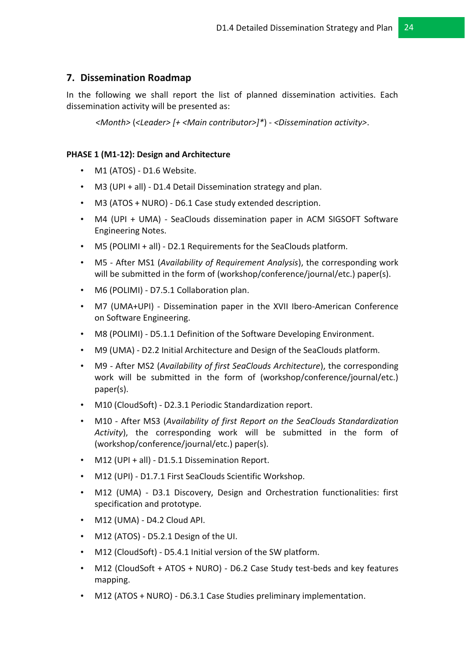## <span id="page-23-0"></span>**7. Dissemination Roadmap**

In the following we shall report the list of planned dissemination activities. Each dissemination activity will be presented as:

*<Month>* (*<Leader> [+ <Main contributor>]\**) - *<Dissemination activity>*.

#### **PHASE 1 (M1-12): Design and Architecture**

- M1 (ATOS) D1.6 Website.
- M3 (UPI + all) D1.4 Detail Dissemination strategy and plan.
- M3 (ATOS + NURO) D6.1 Case study extended description.
- M4 (UPI + UMA) SeaClouds dissemination paper in ACM SIGSOFT Software Engineering Notes.
- M5 (POLIMI + all) D2.1 Requirements for the SeaClouds platform.
- M5 After MS1 (*Availability of Requirement Analysis*), the corresponding work will be submitted in the form of (workshop/conference/journal/etc.) paper(s).
- M6 (POLIMI) D7.5.1 Collaboration plan.
- M7 (UMA+UPI) Dissemination paper in the XVII Ibero-American Conference on Software Engineering.
- M8 (POLIMI) D5.1.1 Definition of the Software Developing Environment.
- M9 (UMA) D2.2 Initial Architecture and Design of the SeaClouds platform.
- M9 After MS2 (*Availability of first SeaClouds Architecture*), the corresponding work will be submitted in the form of (workshop/conference/journal/etc.) paper(s).
- M10 (CloudSoft) D2.3.1 Periodic Standardization report.
- M10 After MS3 (*Availability of first Report on the SeaClouds Standardization Activity*), the corresponding work will be submitted in the form of (workshop/conference/journal/etc.) paper(s).
- M12 (UPI + all) D1.5.1 Dissemination Report.
- M12 (UPI) D1.7.1 First SeaClouds Scientific Workshop.
- M12 (UMA) D3.1 Discovery, Design and Orchestration functionalities: first specification and prototype.
- M12 (UMA) D4.2 Cloud API.
- M12 (ATOS) D5.2.1 Design of the UI.
- M12 (CloudSoft) D5.4.1 Initial version of the SW platform.
- M12 (CloudSoft + ATOS + NURO) D6.2 Case Study test-beds and key features mapping.
- M12 (ATOS + NURO) D6.3.1 Case Studies preliminary implementation.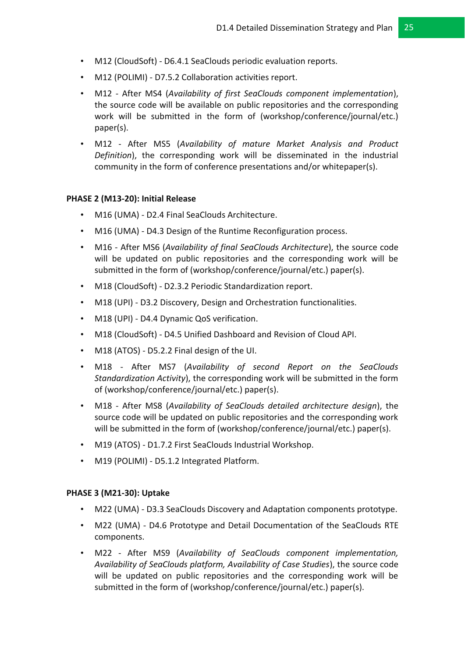- M12 (CloudSoft) D6.4.1 SeaClouds periodic evaluation reports.
- M12 (POLIMI) D7.5.2 Collaboration activities report.
- M12 After MS4 (*Availability of first SeaClouds component implementation*), the source code will be available on public repositories and the corresponding work will be submitted in the form of (workshop/conference/journal/etc.) paper(s).
- M12 After MS5 (*Availability of mature Market Analysis and Product Definition*), the corresponding work will be disseminated in the industrial community in the form of conference presentations and/or whitepaper(s).

#### **PHASE 2 (M13-20): Initial Release**

- M16 (UMA) D2.4 Final SeaClouds Architecture.
- M16 (UMA) D4.3 Design of the Runtime Reconfiguration process.
- M16 After MS6 (*Availability of final SeaClouds Architecture*), the source code will be updated on public repositories and the corresponding work will be submitted in the form of (workshop/conference/journal/etc.) paper(s).
- M18 (CloudSoft) D2.3.2 Periodic Standardization report.
- M18 (UPI) D3.2 Discovery, Design and Orchestration functionalities.
- M18 (UPI) D4.4 Dynamic QoS verification.
- M18 (CloudSoft) D4.5 Unified Dashboard and Revision of Cloud API.
- M18 (ATOS) D5.2.2 Final design of the UI.
- M18 After MS7 (*Availability of second Report on the SeaClouds Standardization Activity*), the corresponding work will be submitted in the form of (workshop/conference/journal/etc.) paper(s).
- M18 After MS8 (*Availability of SeaClouds detailed architecture design*), the source code will be updated on public repositories and the corresponding work will be submitted in the form of (workshop/conference/journal/etc.) paper(s).
- M19 (ATOS) D1.7.2 First SeaClouds Industrial Workshop.
- M19 (POLIMI) D5.1.2 Integrated Platform.

#### **PHASE 3 (M21-30): Uptake**

- M22 (UMA) D3.3 SeaClouds Discovery and Adaptation components prototype.
- M22 (UMA) D4.6 Prototype and Detail Documentation of the SeaClouds RTE components.
- M22 After MS9 (*Availability of SeaClouds component implementation, Availability of SeaClouds platform, Availability of Case Studies*), the source code will be updated on public repositories and the corresponding work will be submitted in the form of (workshop/conference/journal/etc.) paper(s).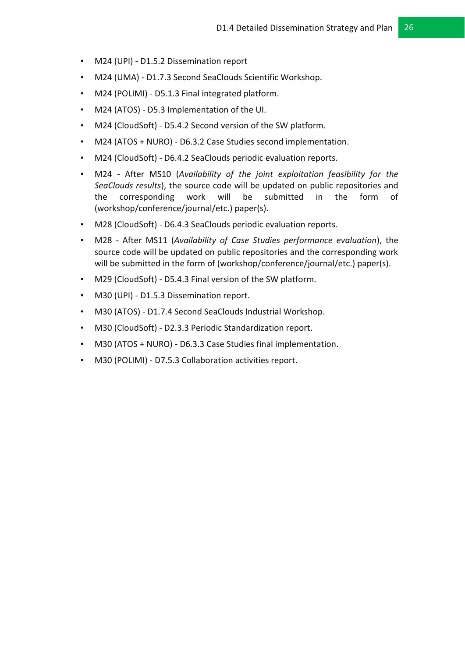- M24 (UPI) D1.5.2 Dissemination report
- M24 (UMA) D1.7.3 Second SeaClouds Scientific Workshop.
- M24 (POLIMI) D5.1.3 Final integrated platform.
- M24 (ATOS) D5.3 Implementation of the UI.
- M24 (CloudSoft) D5.4.2 Second version of the SW platform.
- M24 (ATOS + NURO) D6.3.2 Case Studies second implementation.
- M24 (CloudSoft) D6.4.2 SeaClouds periodic evaluation reports.
- M24 After MS10 (*Availability of the joint exploitation feasibility for the SeaClouds results*), the source code will be updated on public repositories and the corresponding work will be submitted in the form of (workshop/conference/journal/etc.) paper(s).
- M28 (CloudSoft) D6.4.3 SeaClouds periodic evaluation reports.
- M28 After MS11 (*Availability of Case Studies performance evaluation*), the source code will be updated on public repositories and the corresponding work will be submitted in the form of (workshop/conference/journal/etc.) paper(s).
- M29 (CloudSoft) D5.4.3 Final version of the SW platform.
- M30 (UPI) D1.5.3 Dissemination report.
- M30 (ATOS) D1.7.4 Second SeaClouds Industrial Workshop.
- M30 (CloudSoft) D2.3.3 Periodic Standardization report.
- M30 (ATOS + NURO) D6.3.3 Case Studies final implementation.
- M30 (POLIMI) D7.5.3 Collaboration activities report.